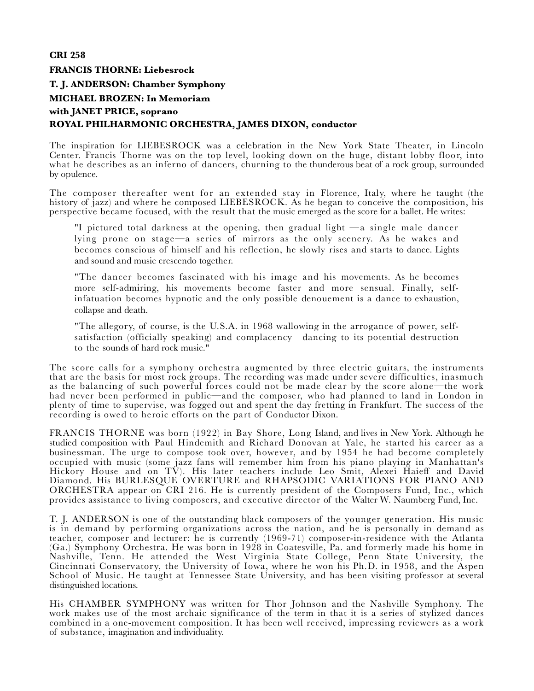# **CRI 258 FRANCIS THORNE: Liebesrock**

## **T. J. ANDERSON: Chamber Symphony**

# **MICHAEL BROZEN: In Memoriam with JANET PRICE, soprano ROYAL PHILHARMONIC ORCHESTRA, JAMES DIXON, conductor**

The inspiration for LIEBESROCK was a celebration in the New York State Theater, in Lincoln Center. Francis Thorne was on the top level, looking down on the huge, distant lobby floor, into what he describes as an inferno of dancers, churning to the thunderous beat of a rock group, surrounded by opulence.

The composer thereafter went for an extended stay in Florence, Italy, where he taught (the history of jazz) and where he composed LIEBESROCK. As he began to conceive the composition, his perspective became focused, with the result that the music emerged as the score for a ballet. He writes:

"I pictured total darkness at the opening, then gradual light —a single male dancer lying prone on stage—a series of mirrors as the only scenery. As he wakes and becomes conscious of himself and his reflection, he slowly rises and starts to dance. Lights and sound and music crescendo together.

"The dancer becomes fascinated with his image and his movements. As he becomes more self-admiring, his movements become faster and more sensual. Finally, selfinfatuation becomes hypnotic and the only possible denouement is a dance to exhaustion, collapse and death.

"The allegory, of course, is the U.S.A. in 1968 wallowing in the arrogance of power, selfsatisfaction (officially speaking) and complacency—dancing to its potential destruction to the sounds of hard rock music."

The score calls for a symphony orchestra augmented by three electric guitars, the instruments that are the basis for most rock groups. The recording was made under severe difficulties, inasmuch as the balancing of such powerful forces could not be made clear by the score alone—the work had never been performed in public—and the composer, who had planned to land in London in plenty of time to supervise, was fogged out and spent the day fretting in Frankfurt. The success of the recording is owed to heroic efforts on the part of Conductor Dixon.

FRANCIS THORNE was born (1922) in Bay Shore, Long Island, and lives in New York. Although he studied composition with Paul Hindemith and Richard Donovan at Yale, he started his career as a businessman. The urge to compose took over, however, and by 1954 he had become completely occupied with music (some jazz fans will remember him from his piano playing in Manhattan's Hickory House and on TV). His later teachers include Leo Smit, Alexei Haieff and David Diamond. His BURLESQUE OVERTURE and RHAPSODIC VARIATIONS FOR PIANO AND ORCHESTRA appear on CRI 216. He is currently president of the Composers Fund, Inc., which provides assistance to living composers, and executive director of the Walter W*.* Naumberg Fund, Inc.

T. J*.* ANDERSON is one of the outstanding black composers of the younger generation. His music is in demand by performing organizations across the nation, and he is personally in demand as teacher, composer and lecturer: he is currently (1969-71) composer-in-residence with the Atlanta (Ga.) Symphony Orchestra. He was born in 1928 in Coatesville, Pa. and formerly made his home in Nashville, Tenn. He attended the West Virginia State College, Penn State University, the Cincinnati Conservatory, the University of Iowa, where he won his Ph.D. in 1958, and the Aspen School of Music. He taught at Tennessee State University, and has been visiting professor at several distinguished locations.

His CHAMBER SYMPHONY was written for Thor Johnson and the Nashville Symphony. The work makes use of the most archaic significance of the term in that it is a series of stylized dances combined in a one-movement composition. It has been well received, impressing reviewers as a work of substance, imagination and individuality.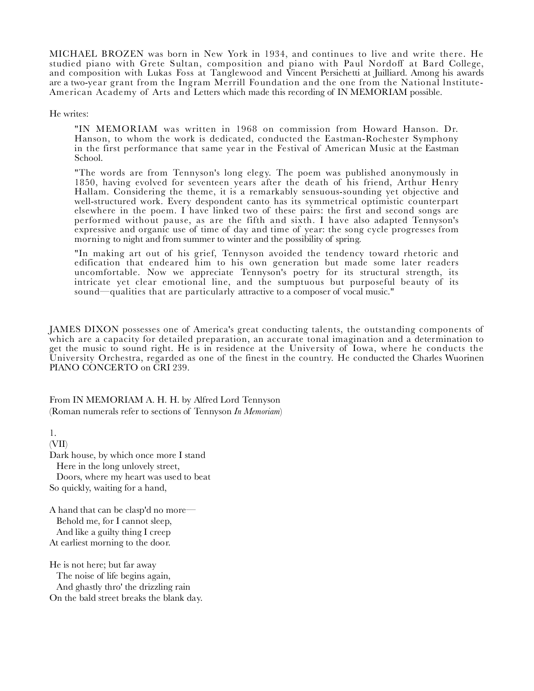MICHAEL BROZEN was born in New York in 1934, and continues to live and write there. He studied piano with Grete Sultan, composition and piano with Paul Nordoff at Bard College, and composition with Lukas Foss at Tanglewood and Vincent Persichetti at Juilliard. Among his awards are a two-year grant from the Ingram Merrill Foundation and the one from the National lnstitute- American Academy of Arts and Letters which made this recording of IN MEMORIAM possible.

He writes:

"IN MEMORIAM was written in 1968 on commission from Howard Hanson. Dr. Hanson, to whom the work is dedicated, conducted the Eastman-Rochester Symphony in the first performance that same year in the Festival of American Music at the Eastman School.

"The words are from Tennyson's long elegy. The poem was published anonymously in 1850, having evolved for seventeen years after the death of his friend, Arthur Henry Hallam. Considering the theme, it is a remarkably sensuous-sounding yet objective and well-structured work. Every despondent canto has its symmetrical optimistic counterpart elsewhere in the poem. I have linked two of these pairs: the first and second songs are performed without pause, as are the fifth and sixth. I have also adapted Tennyson's expressive and organic use of time of day and time of year: the song cycle progresses from morning to night and from summer to winter and the possibility of spring.

"In making art out of his grief, Tennyson avoided the tendency toward rhetoric and edification that endeared him to his own generation but made some later readers uncomfortable. Now we appreciate Tennyson's poetry for its structural strength, its intricate yet clear emotional line, and the sumptuous but purposeful beauty of its sound—qualities that are particularly attractive to a composer of vocal music."

JAMES DIXON possesses one of America's great conducting talents, the outstanding components of which are a capacity for detailed preparation, an accurate tonal imagination and a determination to get the music to sound right. He is in residence at the University of Iowa, where he conducts the University Orchestra, regarded as one of the finest in the country. He conducted the Charles Wuorinen PIANO CONCERTO on CRI 239.

From IN MEMORIAM A. H. H. by Alfred Lord Tennyson (Roman numerals refer to sections of Tennyson *In Memoriam*)

1. (VII) Dark house, by which once more I stand Here in the long unlovely street, Doors, where my heart was used to beat So quickly, waiting for a hand,

A hand that can be clasp'd no more— Behold me, for I cannot sleep, And like a guilty thing I creep At earliest morning to the door.

He is not here; but far away The noise of life begins again, And ghastly thro' the drizzling rain On the bald street breaks the blank day.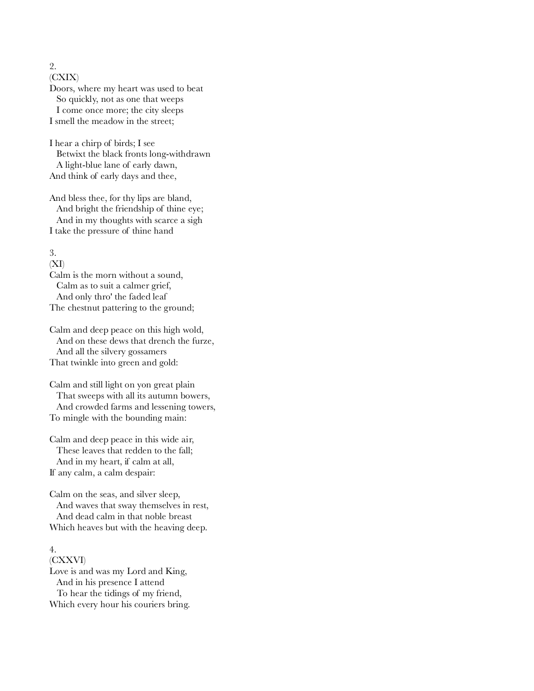(CXIX) Doors, where my heart was used to beat So quickly, not as one that weeps I come once more; the city sleeps I smell the meadow in the street;

I hear a chirp of birds; I see Betwixt the black fronts long-withdrawn A light-blue lane of early dawn, And think of early days and thee,

And bless thee, for thy lips are bland, And bright the friendship of thine eye; And in my thoughts with scarce a sigh I take the pressure of thine hand

3.

(XI)

Calm is the morn without a sound, Calm as to suit a calmer grief, And only thro' the faded leaf The chestnut pattering to the ground;

Calm and deep peace on this high wold, And on these dews that drench the furze, And all the silvery gossamers That twinkle into green and gold:

Calm and still light on yon great plain That sweeps with all its autumn bowers, And crowded farms and lessening towers, To mingle with the bounding main:

Calm and deep peace in this wide air, These leaves that redden to the fall; And in my heart, if calm at all, If any calm, a calm despair:

Calm on the seas, and silver sleep, And waves that sway themselves in rest, And dead calm in that noble breast Which heaves but with the heaving deep.

### 4.

(CXXVI) Love is and was my Lord and King, And in his presence I attend To hear the tidings of my friend, Which every hour his couriers bring.

2.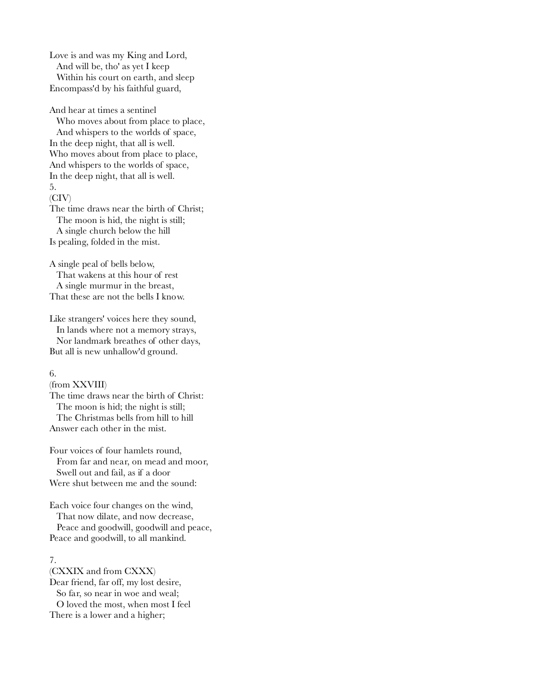Love is and was my King and Lord, And will be, tho' as yet I keep Within his court on earth, and sleep Encompass'd by his faithful guard,

And hear at times a sentinel Who moves about from place to place, And whispers to the worlds of space, In the deep night, that all is well. Who moves about from place to place, And whispers to the worlds of space, In the deep night, that all is well. 5. (CIV) The time draws near the birth of Christ; The moon is hid, the night is still;

 A single church below the hill Is pealing, folded in the mist.

A single peal of bells below, That wakens at this hour of rest A single murmur in the breast, That these are not the bells I know.

Like strangers' voices here they sound, In lands where not a memory strays, Nor landmark breathes of other days, But all is new unhallow'd ground.

#### 6.

(from XXVIII) The time draws near the birth of Christ: The moon is hid; the night is still; The Christmas bells from hill to hill Answer each other in the mist.

Four voices of four hamlets round, From far and near, on mead and moor, Swell out and fail, as if a door Were shut between me and the sound:

Each voice four changes on the wind, That now dilate, and now decrease, Peace and goodwill, goodwill and peace, Peace and goodwill, to all mankind.

#### 7.

(CXXIX and from CXXX) Dear friend, far off, my lost desire, So far, so near in woe and weal; O loved the most, when most I feel There is a lower and a higher;